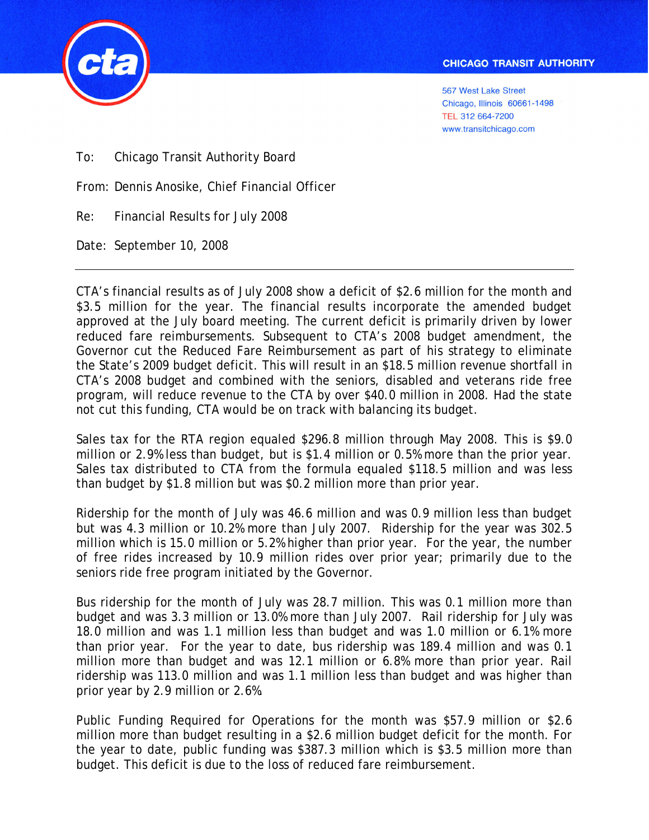

To: Chicago Transit Authority Board

From: Dennis Anosike, Chief Financial Officer

Re: Financial Results for July 2008

Date: September 10, 2008

٦

CTA's financial results as of July 2008 show a deficit of \$2.6 million for the month and \$3.5 million for the year. The financial results incorporate the amended budget approved at the July board meeting. The current deficit is primarily driven by lower reduced fare reimbursements. Subsequent to CTA's 2008 budget amendment, the Governor cut the Reduced Fare Reimbursement as part of his strategy to eliminate the State's 2009 budget deficit. This will result in an \$18.5 million revenue shortfall in CTA's 2008 budget and combined with the seniors, disabled and veterans ride free program, will reduce revenue to the CTA by over \$40.0 million in 2008. Had the state not cut this funding, CTA would be on track with balancing its budget.

Sales tax for the RTA region equaled \$296.8 million through May 2008. This is \$9.0 million or 2.9% less than budget, but is \$1.4 million or 0.5% more than the prior year. Sales tax distributed to CTA from the formula equaled \$118.5 million and was less than budget by \$1.8 million but was \$0.2 million more than prior year.

Ridership for the month of July was 46.6 million and was 0.9 million less than budget but was 4.3 million or 10.2% more than July 2007. Ridership for the year was 302.5 million which is 15.0 million or 5.2% higher than prior year. For the year, the number of free rides increased by 10.9 million rides over prior year; primarily due to the seniors ride free program initiated by the Governor.

Bus ridership for the month of July was 28.7 million. This was 0.1 million more than budget and was 3.3 million or 13.0% more than July 2007. Rail ridership for July was 18.0 million and was 1.1 million less than budget and was 1.0 million or 6.1% more than prior year. For the year to date, bus ridership was 189.4 million and was 0.1 million more than budget and was 12.1 million or 6.8% more than prior year. Rail ridership was 113.0 million and was 1.1 million less than budget and was higher than prior year by 2.9 million or 2.6%.

Public Funding Required for Operations for the month was \$57.9 million or \$2.6 million more than budget resulting in a \$2.6 million budget deficit for the month. For the year to date, public funding was \$387.3 million which is \$3.5 million more than budget. This deficit is due to the loss of reduced fare reimbursement.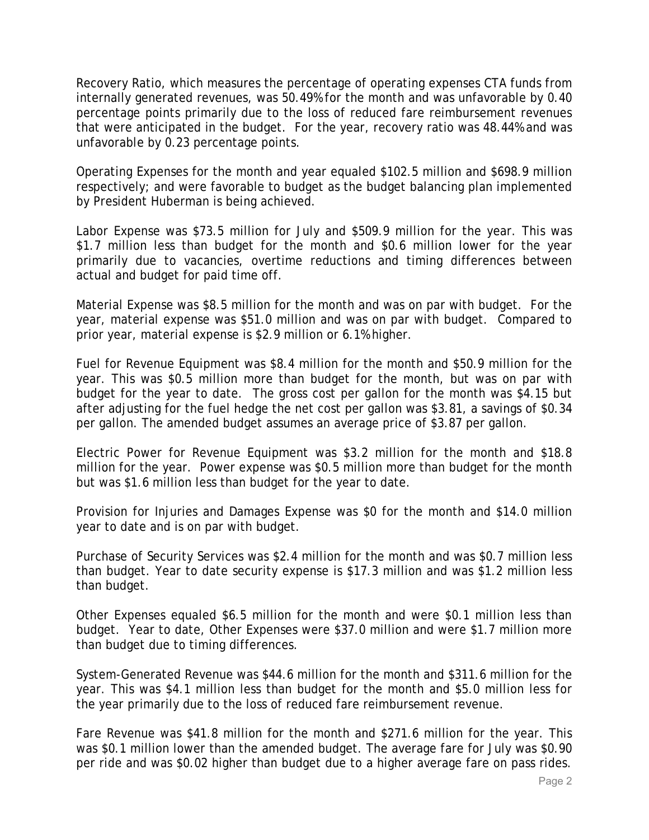Recovery Ratio, which measures the percentage of operating expenses CTA funds from internally generated revenues, was 50.49% for the month and was unfavorable by 0.40 percentage points primarily due to the loss of reduced fare reimbursement revenues that were anticipated in the budget. For the year, recovery ratio was 48.44% and was unfavorable by 0.23 percentage points.

Operating Expenses for the month and year equaled \$102.5 million and \$698.9 million respectively; and were favorable to budget as the budget balancing plan implemented by President Huberman is being achieved.

Labor Expense was \$73.5 million for July and \$509.9 million for the year. This was \$1.7 million less than budget for the month and \$0.6 million lower for the year primarily due to vacancies, overtime reductions and timing differences between actual and budget for paid time off.

Material Expense was \$8.5 million for the month and was on par with budget. For the year, material expense was \$51.0 million and was on par with budget. Compared to prior year, material expense is \$2.9 million or 6.1% higher.

Fuel for Revenue Equipment was \$8.4 million for the month and \$50.9 million for the year. This was \$0.5 million more than budget for the month, but was on par with budget for the year to date. The gross cost per gallon for the month was \$4.15 but after adjusting for the fuel hedge the net cost per gallon was \$3.81, a savings of \$0.34 per gallon. The amended budget assumes an average price of \$3.87 per gallon.

Electric Power for Revenue Equipment was \$3.2 million for the month and \$18.8 million for the year. Power expense was \$0.5 million more than budget for the month but was \$1.6 million less than budget for the year to date.

Provision for Injuries and Damages Expense was \$0 for the month and \$14.0 million year to date and is on par with budget.

Purchase of Security Services was \$2.4 million for the month and was \$0.7 million less than budget. Year to date security expense is \$17.3 million and was \$1.2 million less than budget.

Other Expenses equaled \$6.5 million for the month and were \$0.1 million less than budget. Year to date, Other Expenses were \$37.0 million and were \$1.7 million more than budget due to timing differences.

System-Generated Revenue was \$44.6 million for the month and \$311.6 million for the year. This was \$4.1 million less than budget for the month and \$5.0 million less for the year primarily due to the loss of reduced fare reimbursement revenue.

Fare Revenue was \$41.8 million for the month and \$271.6 million for the year. This was \$0.1 million lower than the amended budget. The average fare for July was \$0.90 per ride and was \$0.02 higher than budget due to a higher average fare on pass rides.